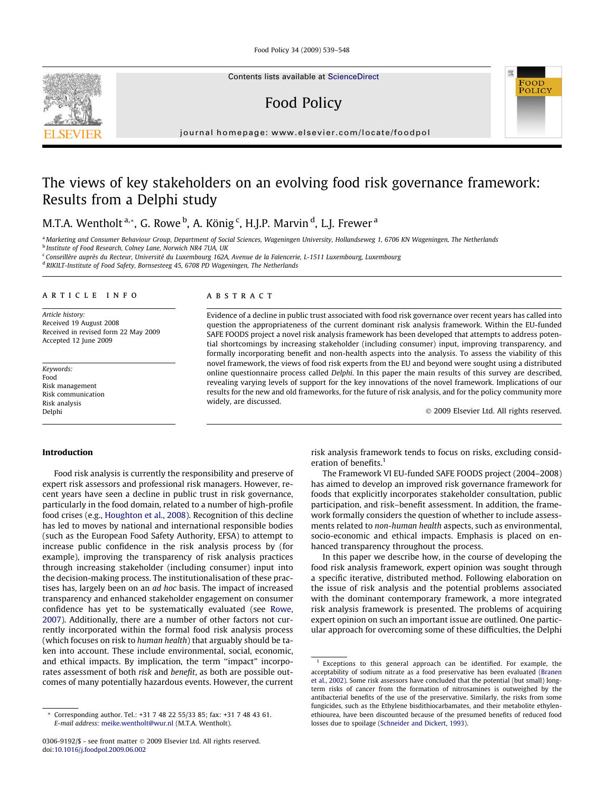Food Policy 34 (2009) 539–548

Contents lists available at [ScienceDirect](http://www.sciencedirect.com/science/journal/03069192)

# Food Policy

journal homepage: [www.elsevier.com/locate/foodpol](http://www.elsevier.com/locate/foodpol)

# The views of key stakeholders on an evolving food risk governance framework: Results from a Delphi study

M.T.A. Wentholt <sup>a,</sup>\*, G. Rowe <sup>b</sup>, A. König <sup>c</sup>, H.J.P. Marvin <sup>d</sup>, L.J. Frewer <sup>a</sup>

a Marketing and Consumer Behaviour Group, Department of Social Sciences, Wageningen University, Hollandseweg 1, 6706 KN Wageningen, The Netherlands <sup>b</sup> Institute of Food Research, Colney Lane, Norwich NR4 7UA, UK

<sup>c</sup> Conseillère auprès du Recteur, Université du Luxembourg 162A, Avenue de la Faïencerie, L-1511 Luxembourg, Luxembourg

<sup>d</sup> RIKILT-Institute of Food Safety, Bornsesteeg 45, 6708 PD Wageningen, The Netherlands

# article info

Article history: Received 19 August 2008 Received in revised form 22 May 2009 Accepted 12 June 2009

Keywords: Food Risk management Risk communication Risk analysis Delphi

# **ABSTRACT**

Evidence of a decline in public trust associated with food risk governance over recent years has called into question the appropriateness of the current dominant risk analysis framework. Within the EU-funded SAFE FOODS project a novel risk analysis framework has been developed that attempts to address potential shortcomings by increasing stakeholder (including consumer) input, improving transparency, and formally incorporating benefit and non-health aspects into the analysis. To assess the viability of this novel framework, the views of food risk experts from the EU and beyond were sought using a distributed online questionnaire process called Delphi. In this paper the main results of this survey are described, revealing varying levels of support for the key innovations of the novel framework. Implications of our results for the new and old frameworks, for the future of risk analysis, and for the policy community more widely, are discussed.

- 2009 Elsevier Ltd. All rights reserved.

**OOD POLICY** 

## Introduction

Food risk analysis is currently the responsibility and preserve of expert risk assessors and professional risk managers. However, recent years have seen a decline in public trust in risk governance, particularly in the food domain, related to a number of high-profile food crises (e.g., [Houghton et al., 2008](#page-9-0)). Recognition of this decline has led to moves by national and international responsible bodies (such as the European Food Safety Authority, EFSA) to attempt to increase public confidence in the risk analysis process by (for example), improving the transparency of risk analysis practices through increasing stakeholder (including consumer) input into the decision-making process. The institutionalisation of these practises has, largely been on an ad hoc basis. The impact of increased transparency and enhanced stakeholder engagement on consumer confidence has yet to be systematically evaluated (see [Rowe,](#page-9-0) [2007](#page-9-0)). Additionally, there are a number of other factors not currently incorporated within the formal food risk analysis process (which focuses on risk to human health) that arguably should be taken into account. These include environmental, social, economic, and ethical impacts. By implication, the term "impact" incorporates assessment of both risk and benefit, as both are possible outcomes of many potentially hazardous events. However, the current

risk analysis framework tends to focus on risks, excluding consideration of benefits  $<sup>1</sup>$ </sup>

The Framework VI EU-funded SAFE FOODS project (2004–2008) has aimed to develop an improved risk governance framework for foods that explicitly incorporates stakeholder consultation, public participation, and risk–benefit assessment. In addition, the framework formally considers the question of whether to include assessments related to non-human health aspects, such as environmental, socio-economic and ethical impacts. Emphasis is placed on enhanced transparency throughout the process.

In this paper we describe how, in the course of developing the food risk analysis framework, expert opinion was sought through a specific iterative, distributed method. Following elaboration on the issue of risk analysis and the potential problems associated with the dominant contemporary framework, a more integrated risk analysis framework is presented. The problems of acquiring expert opinion on such an important issue are outlined. One particular approach for overcoming some of these difficulties, the Delphi



Corresponding author. Tel.: +31 7 48 22 55/33 85; fax: +31 7 48 43 61. E-mail address: [meike.wentholt@wur.nl](mailto:meike.wentholt@wur.nl) (M.T.A. Wentholt).

<sup>0306-9192/\$ -</sup> see front matter © 2009 Elsevier Ltd. All rights reserved. doi[:10.1016/j.foodpol.2009.06.002](http://dx.doi.org/10.1016/j.foodpol.2009.06.002)

 $1$  Exceptions to this general approach can be identified. For example, the acceptability of sodium nitrate as a food preservative has been evaluated ([Branen](#page-9-0) [et al., 2002](#page-9-0)). Some risk assessors have concluded that the potential (but small) longterm risks of cancer from the formation of nitrosamines is outweighed by the antibacterial benefits of the use of the preservative. Similarly, the risks from some fungicides, such as the Ethylene bisdithiocarbamates, and their metabolite ethylenethiourea, have been discounted because of the presumed benefits of reduced food losses due to spoilage ([Schneider and Dickert, 1993](#page-9-0)).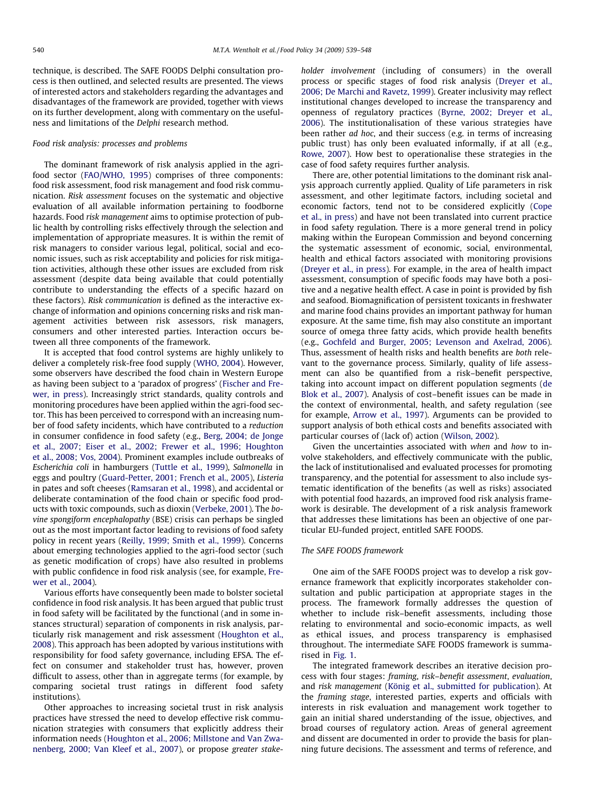technique, is described. The SAFE FOODS Delphi consultation process is then outlined, and selected results are presented. The views of interested actors and stakeholders regarding the advantages and disadvantages of the framework are provided, together with views on its further development, along with commentary on the usefulness and limitations of the Delphi research method.

## Food risk analysis: processes and problems

The dominant framework of risk analysis applied in the agrifood sector [\(FAO/WHO, 1995](#page-9-0)) comprises of three components: food risk assessment, food risk management and food risk communication. Risk assessment focuses on the systematic and objective evaluation of all available information pertaining to foodborne hazards. Food risk management aims to optimise protection of public health by controlling risks effectively through the selection and implementation of appropriate measures. It is within the remit of risk managers to consider various legal, political, social and economic issues, such as risk acceptability and policies for risk mitigation activities, although these other issues are excluded from risk assessment (despite data being available that could potentially contribute to understanding the effects of a specific hazard on these factors). Risk communication is defined as the interactive exchange of information and opinions concerning risks and risk management activities between risk assessors, risk managers, consumers and other interested parties. Interaction occurs between all three components of the framework.

It is accepted that food control systems are highly unlikely to deliver a completely risk-free food supply ([WHO, 2004\)](#page-9-0). However, some observers have described the food chain in Western Europe as having been subject to a 'paradox of progress' ([Fischer and Fre](#page-9-0)[wer, in press](#page-9-0)). Increasingly strict standards, quality controls and monitoring procedures have been applied within the agri-food sector. This has been perceived to correspond with an increasing number of food safety incidents, which have contributed to a reduction in consumer confidence in food safety (e.g., [Berg, 2004; de Jonge](#page-9-0) [et al., 2007; Eiser et al., 2002; Frewer et al., 1996; Houghton](#page-9-0) [et al., 2008; Vos, 2004](#page-9-0)). Prominent examples include outbreaks of Escherichia coli in hamburgers [\(Tuttle et al., 1999](#page-9-0)), Salmonella in eggs and poultry [\(Guard-Petter, 2001; French et al., 2005](#page-9-0)), Listeria in pates and soft cheeses [\(Ramsaran et al., 1998](#page-9-0)), and accidental or deliberate contamination of the food chain or specific food products with toxic compounds, such as dioxin ([Verbeke, 2001](#page-9-0)). The bovine spongiform encephalopathy (BSE) crisis can perhaps be singled out as the most important factor leading to revisions of food safety policy in recent years ([Reilly, 1999; Smith et al., 1999](#page-9-0)). Concerns about emerging technologies applied to the agri-food sector (such as genetic modification of crops) have also resulted in problems with public confidence in food risk analysis (see, for example, [Fre](#page-9-0)[wer et al., 2004\)](#page-9-0).

Various efforts have consequently been made to bolster societal confidence in food risk analysis. It has been argued that public trust in food safety will be facilitated by the functional (and in some instances structural) separation of components in risk analysis, particularly risk management and risk assessment ([Houghton et al.,](#page-9-0) [2008\)](#page-9-0). This approach has been adopted by various institutions with responsibility for food safety governance, including EFSA. The effect on consumer and stakeholder trust has, however, proven difficult to assess, other than in aggregate terms (for example, by comparing societal trust ratings in different food safety institutions).

Other approaches to increasing societal trust in risk analysis practices have stressed the need to develop effective risk communication strategies with consumers that explicitly address their information needs [\(Houghton et al., 2006; Millstone and Van Zwa](#page-9-0)[nenberg, 2000; Van Kleef et al., 2007\)](#page-9-0), or propose greater stakeholder involvement (including of consumers) in the overall process or specific stages of food risk analysis ([Dreyer et al.,](#page-9-0) [2006; De Marchi and Ravetz, 1999](#page-9-0)). Greater inclusivity may reflect institutional changes developed to increase the transparency and openness of regulatory practices ([Byrne, 2002; Dreyer et al.,](#page-9-0) [2006\)](#page-9-0). The institutionalisation of these various strategies have been rather ad hoc, and their success (e.g. in terms of increasing public trust) has only been evaluated informally, if at all (e.g., [Rowe, 2007](#page-9-0)). How best to operationalise these strategies in the case of food safety requires further analysis.

There are, other potential limitations to the dominant risk analysis approach currently applied. Quality of Life parameters in risk assessment, and other legitimate factors, including societal and economic factors, tend not to be considered explicitly [\(Cope](#page-9-0) [et al., in press\)](#page-9-0) and have not been translated into current practice in food safety regulation. There is a more general trend in policy making within the European Commission and beyond concerning the systematic assessment of economic, social, environmental, health and ethical factors associated with monitoring provisions ([Dreyer et al., in press](#page-9-0)). For example, in the area of health impact assessment, consumption of specific foods may have both a positive and a negative health effect. A case in point is provided by fish and seafood. Biomagnification of persistent toxicants in freshwater and marine food chains provides an important pathway for human exposure. At the same time, fish may also constitute an important source of omega three fatty acids, which provide health benefits (e.g., [Gochfeld and Burger, 2005; Levenson and Axelrad, 2006\)](#page-9-0). Thus, assessment of health risks and health benefits are both relevant to the governance process. Similarly, quality of life assessment can also be quantified from a risk–benefit perspective, taking into account impact on different population segments ([de](#page-9-0) [Blok et al., 2007](#page-9-0)). Analysis of cost–benefit issues can be made in the context of environmental, health, and safety regulation (see for example, [Arrow et al., 1997\)](#page-9-0). Arguments can be provided to support analysis of both ethical costs and benefits associated with particular courses of (lack of) action ([Wilson, 2002\)](#page-9-0).

Given the uncertainties associated with when and how to involve stakeholders, and effectively communicate with the public, the lack of institutionalised and evaluated processes for promoting transparency, and the potential for assessment to also include systematic identification of the benefits (as well as risks) associated with potential food hazards, an improved food risk analysis framework is desirable. The development of a risk analysis framework that addresses these limitations has been an objective of one particular EU-funded project, entitled SAFE FOODS.

## The SAFE FOODS framework

One aim of the SAFE FOODS project was to develop a risk governance framework that explicitly incorporates stakeholder consultation and public participation at appropriate stages in the process. The framework formally addresses the question of whether to include risk–benefit assessments, including those relating to environmental and socio-economic impacts, as well as ethical issues, and process transparency is emphasised throughout. The intermediate SAFE FOODS framework is summarised in [Fig. 1.](#page-2-0)

The integrated framework describes an iterative decision process with four stages: framing, risk–benefit assessment, evaluation, and risk management ([König et al., submitted for publication](#page-9-0)). At the framing stage, interested parties, experts and officials with interests in risk evaluation and management work together to gain an initial shared understanding of the issue, objectives, and broad courses of regulatory action. Areas of general agreement and dissent are documented in order to provide the basis for planning future decisions. The assessment and terms of reference, and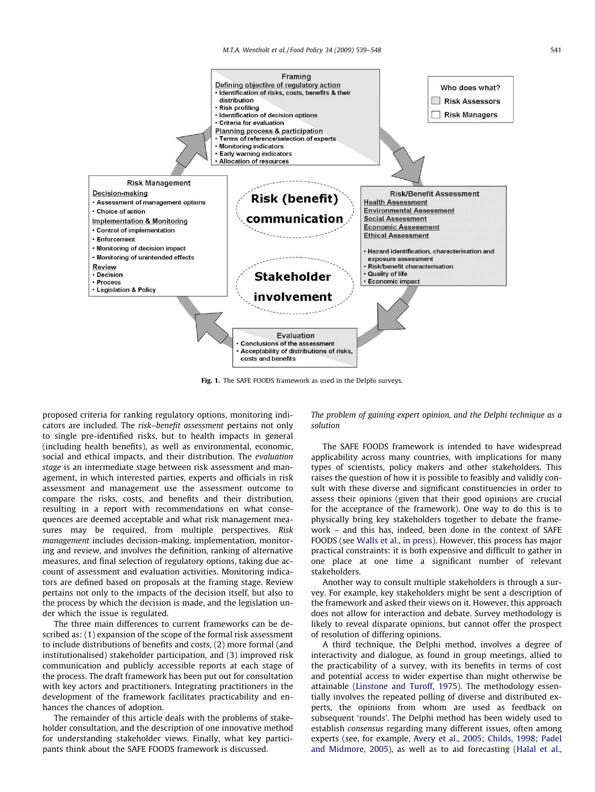<span id="page-2-0"></span>

Fig. 1. The SAFE FOODS framework as used in the Delphi surveys.

proposed criteria for ranking regulatory options, monitoring indicators are included. The risk–benefit assessment pertains not only to single pre-identified risks, but to health impacts in general (including health benefits), as well as environmental, economic, social and ethical impacts, and their distribution. The evaluation stage is an intermediate stage between risk assessment and management, in which interested parties, experts and officials in risk assessment and management use the assessment outcome to compare the risks, costs, and benefits and their distribution, resulting in a report with recommendations on what consequences are deemed acceptable and what risk management measures may be required, from multiple perspectives. Risk management includes decision-making, implementation, monitoring and review, and involves the definition, ranking of alternative measures, and final selection of regulatory options, taking due account of assessment and evaluation activities. Monitoring indicators are defined based on proposals at the framing stage. Review pertains not only to the impacts of the decision itself, but also to the process by which the decision is made, and the legislation under which the issue is regulated.

The three main differences to current frameworks can be described as: (1) expansion of the scope of the formal risk assessment to include distributions of benefits and costs, (2) more formal (and institutionalised) stakeholder participation, and (3) improved risk communication and publicly accessible reports at each stage of the process. The draft framework has been put out for consultation with key actors and practitioners. Integrating practitioners in the development of the framework facilitates practicability and enhances the chances of adoption.

The remainder of this article deals with the problems of stakeholder consultation, and the description of one innovative method for understanding stakeholder views. Finally, what key participants think about the SAFE FOODS framework is discussed.

The problem of gaining expert opinion, and the Delphi technique as a solution

The SAFE FOODS framework is intended to have widespread applicability across many countries, with implications for many types of scientists, policy makers and other stakeholders. This raises the question of how it is possible to feasibly and validly consult with these diverse and significant constituencies in order to assess their opinions (given that their good opinions are crucial for the acceptance of the framework). One way to do this is to physically bring key stakeholders together to debate the framework – and this has, indeed, been done in the context of SAFE FOODS (see [Walls et al., in press\)](#page-9-0). However, this process has major practical constraints: it is both expensive and difficult to gather in one place at one time a significant number of relevant stakeholders.

Another way to consult multiple stakeholders is through a survey. For example, key stakeholders might be sent a description of the framework and asked their views on it. However, this approach does not allow for interaction and debate. Survey methodology is likely to reveal disparate opinions, but cannot offer the prospect of resolution of differing opinions.

A third technique, the Delphi method, involves a degree of interactivity and dialogue, as found in group meetings, allied to the practicability of a survey, with its benefits in terms of cost and potential access to wider expertise than might otherwise be attainable [\(Linstone and Turoff, 1975](#page-9-0)). The methodology essentially involves the repeated polling of diverse and distributed experts, the opinions from whom are used as feedback on subsequent 'rounds'. The Delphi method has been widely used to establish consensus regarding many different issues, often among experts (see, for example, [Avery et al., 2005; Childs, 1998; Padel](#page-9-0) [and Midmore, 2005\)](#page-9-0), as well as to aid forecasting [\(Halal et al.,](#page-9-0)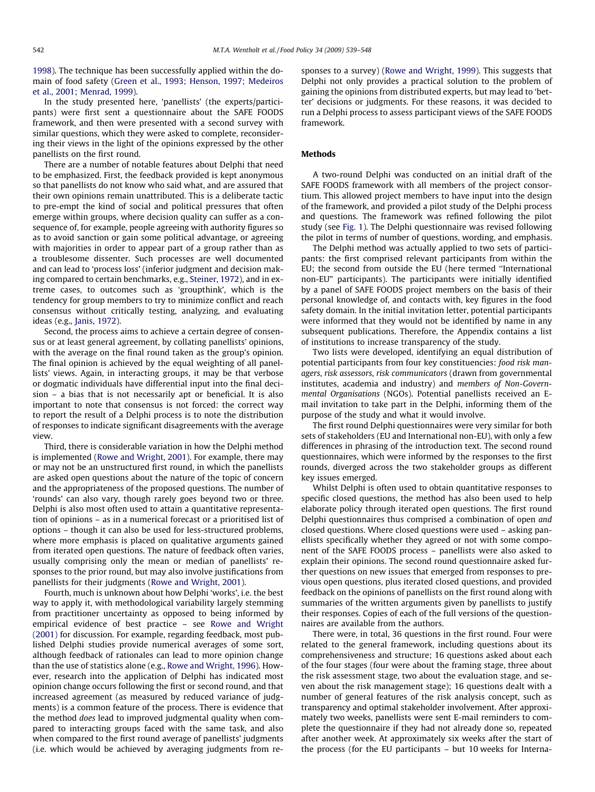[1998\)](#page-9-0). The technique has been successfully applied within the domain of food safety ([Green et al., 1993; Henson, 1997; Medeiros](#page-9-0) [et al., 2001; Menrad, 1999](#page-9-0)).

In the study presented here, 'panellists' (the experts/participants) were first sent a questionnaire about the SAFE FOODS framework, and then were presented with a second survey with similar questions, which they were asked to complete, reconsidering their views in the light of the opinions expressed by the other panellists on the first round.

There are a number of notable features about Delphi that need to be emphasized. First, the feedback provided is kept anonymous so that panellists do not know who said what, and are assured that their own opinions remain unattributed. This is a deliberate tactic to pre-empt the kind of social and political pressures that often emerge within groups, where decision quality can suffer as a consequence of, for example, people agreeing with authority figures so as to avoid sanction or gain some political advantage, or agreeing with majorities in order to appear part of a group rather than as a troublesome dissenter. Such processes are well documented and can lead to 'process loss' (inferior judgment and decision making compared to certain benchmarks, e.g., [Steiner, 1972\)](#page-9-0), and in extreme cases, to outcomes such as 'groupthink', which is the tendency for group members to try to minimize conflict and reach consensus without critically testing, analyzing, and evaluating ideas (e.g., [Janis, 1972\)](#page-9-0).

Second, the process aims to achieve a certain degree of consensus or at least general agreement, by collating panellists' opinions, with the average on the final round taken as the group's opinion. The final opinion is achieved by the equal weighting of all panellists' views. Again, in interacting groups, it may be that verbose or dogmatic individuals have differential input into the final decision – a bias that is not necessarily apt or beneficial. It is also important to note that consensus is not forced: the correct way to report the result of a Delphi process is to note the distribution of responses to indicate significant disagreements with the average view.

Third, there is considerable variation in how the Delphi method is implemented [\(Rowe and Wright, 2001\)](#page-9-0). For example, there may or may not be an unstructured first round, in which the panellists are asked open questions about the nature of the topic of concern and the appropriateness of the proposed questions. The number of 'rounds' can also vary, though rarely goes beyond two or three. Delphi is also most often used to attain a quantitative representation of opinions – as in a numerical forecast or a prioritised list of options – though it can also be used for less-structured problems, where more emphasis is placed on qualitative arguments gained from iterated open questions. The nature of feedback often varies, usually comprising only the mean or median of panellists' responses to the prior round, but may also involve justifications from panellists for their judgments [\(Rowe and Wright, 2001\)](#page-9-0).

Fourth, much is unknown about how Delphi 'works', i.e. the best way to apply it, with methodological variability largely stemming from practitioner uncertainty as opposed to being informed by empirical evidence of best practice – see [Rowe and Wright](#page-9-0) [\(2001\)](#page-9-0) for discussion. For example, regarding feedback, most published Delphi studies provide numerical averages of some sort, although feedback of rationales can lead to more opinion change than the use of statistics alone (e.g., [Rowe and Wright, 1996\)](#page-9-0). However, research into the application of Delphi has indicated most opinion change occurs following the first or second round, and that increased agreement (as measured by reduced variance of judgments) is a common feature of the process. There is evidence that the method does lead to improved judgmental quality when compared to interacting groups faced with the same task, and also when compared to the first round average of panellists' judgments (i.e. which would be achieved by averaging judgments from responses to a survey) ([Rowe and Wright, 1999](#page-9-0)). This suggests that Delphi not only provides a practical solution to the problem of gaining the opinions from distributed experts, but may lead to 'better' decisions or judgments. For these reasons, it was decided to run a Delphi process to assess participant views of the SAFE FOODS framework.

# **Methods**

A two-round Delphi was conducted on an initial draft of the SAFE FOODS framework with all members of the project consortium. This allowed project members to have input into the design of the framework, and provided a pilot study of the Delphi process and questions. The framework was refined following the pilot study (see [Fig. 1\)](#page-2-0). The Delphi questionnaire was revised following the pilot in terms of number of questions, wording, and emphasis.

The Delphi method was actually applied to two sets of participants: the first comprised relevant participants from within the EU; the second from outside the EU (here termed ''International non-EU" participants). The participants were initially identified by a panel of SAFE FOODS project members on the basis of their personal knowledge of, and contacts with, key figures in the food safety domain. In the initial invitation letter, potential participants were informed that they would not be identified by name in any subsequent publications. Therefore, the Appendix contains a list of institutions to increase transparency of the study.

Two lists were developed, identifying an equal distribution of potential participants from four key constituencies: food risk managers, risk assessors, risk communicators (drawn from governmental institutes, academia and industry) and members of Non-Governmental Organisations (NGOs). Potential panellists received an Email invitation to take part in the Delphi, informing them of the purpose of the study and what it would involve.

The first round Delphi questionnaires were very similar for both sets of stakeholders (EU and International non-EU), with only a few differences in phrasing of the introduction text. The second round questionnaires, which were informed by the responses to the first rounds, diverged across the two stakeholder groups as different key issues emerged.

Whilst Delphi is often used to obtain quantitative responses to specific closed questions, the method has also been used to help elaborate policy through iterated open questions. The first round Delphi questionnaires thus comprised a combination of open and closed questions. Where closed questions were used – asking panellists specifically whether they agreed or not with some component of the SAFE FOODS process – panellists were also asked to explain their opinions. The second round questionnaire asked further questions on new issues that emerged from responses to previous open questions, plus iterated closed questions, and provided feedback on the opinions of panellists on the first round along with summaries of the written arguments given by panellists to justify their responses. Copies of each of the full versions of the questionnaires are available from the authors.

There were, in total, 36 questions in the first round. Four were related to the general framework, including questions about its comprehensiveness and structure; 16 questions asked about each of the four stages (four were about the framing stage, three about the risk assessment stage, two about the evaluation stage, and seven about the risk management stage); 16 questions dealt with a number of general features of the risk analysis concept, such as transparency and optimal stakeholder involvement. After approximately two weeks, panellists were sent E-mail reminders to complete the questionnaire if they had not already done so, repeated after another week. At approximately six weeks after the start of the process (for the EU participants – but 10 weeks for Interna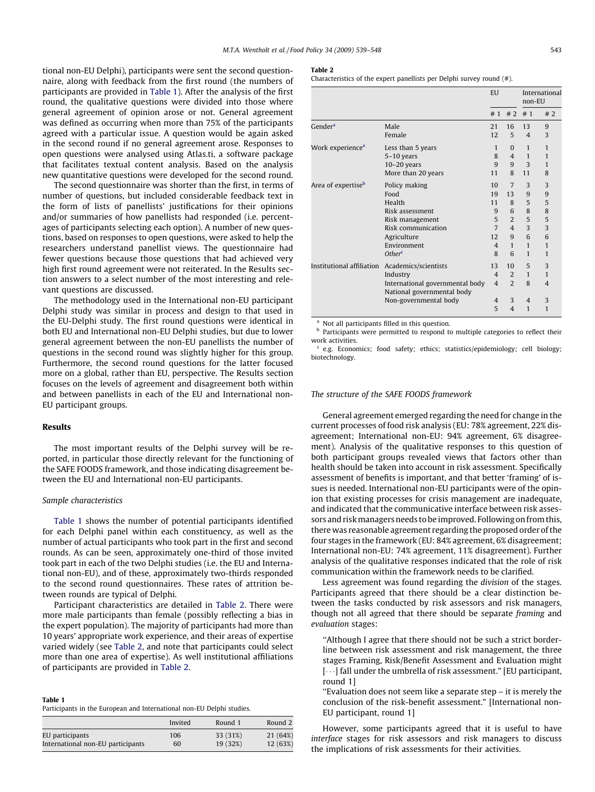tional non-EU Delphi), participants were sent the second questionnaire, along with feedback from the first round (the numbers of participants are provided in Table 1). After the analysis of the first round, the qualitative questions were divided into those where general agreement of opinion arose or not. General agreement was defined as occurring when more than 75% of the participants agreed with a particular issue. A question would be again asked in the second round if no general agreement arose. Responses to open questions were analysed using Atlas.ti, a software package that facilitates textual content analysis. Based on the analysis new quantitative questions were developed for the second round.

The second questionnaire was shorter than the first, in terms of number of questions, but included considerable feedback text in the form of lists of panellists' justifications for their opinions and/or summaries of how panellists had responded (i.e. percentages of participants selecting each option). A number of new questions, based on responses to open questions, were asked to help the researchers understand panellist views. The questionnaire had fewer questions because those questions that had achieved very high first round agreement were not reiterated. In the Results section answers to a select number of the most interesting and relevant questions are discussed.

The methodology used in the International non-EU participant Delphi study was similar in process and design to that used in the EU-Delphi study. The first round questions were identical in both EU and International non-EU Delphi studies, but due to lower general agreement between the non-EU panellists the number of questions in the second round was slightly higher for this group. Furthermore, the second round questions for the latter focused more on a global, rather than EU, perspective. The Results section focuses on the levels of agreement and disagreement both within and between panellists in each of the EU and International non-EU participant groups.

## Results

The most important results of the Delphi survey will be reported, in particular those directly relevant for the functioning of the SAFE FOODS framework, and those indicating disagreement between the EU and International non-EU participants.

#### Sample characteristics

Table 1 shows the number of potential participants identified for each Delphi panel within each constituency, as well as the number of actual participants who took part in the first and second rounds. As can be seen, approximately one-third of those invited took part in each of the two Delphi studies (i.e. the EU and International non-EU), and of these, approximately two-thirds responded to the second round questionnaires. These rates of attrition between rounds are typical of Delphi.

Participant characteristics are detailed in Table 2. There were more male participants than female (possibly reflecting a bias in the expert population). The majority of participants had more than 10 years' appropriate work experience, and their areas of expertise varied widely (see Table 2, and note that participants could select more than one area of expertise). As well institutional affiliations of participants are provided in Table 2.

|--|--|--|--|

Participants in the European and International non-EU Delphi studies.

|                                   | Invited | Round 1  | Round 2  |
|-----------------------------------|---------|----------|----------|
| EU participants                   | 106     | 33 (31%) | 21 (64%) |
| International non-EU participants | 60      | 19 (32%) | 12 (63%) |

#### Table 2

Characteristics of the expert panellists per Delphi survey round (#).

|                                |                                                               | EU              |                         | International<br>non-EU |                |
|--------------------------------|---------------------------------------------------------------|-----------------|-------------------------|-------------------------|----------------|
|                                |                                                               | #1              | #2                      | #1                      | #2             |
| Gender <sup>a</sup>            | Male                                                          | 21              | 16                      | 13                      | 9              |
|                                | Female                                                        | 12              | 5                       | $\overline{4}$          | 3              |
| Work experience <sup>a</sup>   | Less than 5 years                                             | $\mathbf{1}$    | $\Omega$                | 1                       | $\mathbf{1}$   |
|                                | $5-10$ years                                                  | 8               | $\overline{4}$          | $\mathbf{1}$            | $\mathbf{1}$   |
|                                | $10-20$ years                                                 | 9               | 9                       | 3                       | $\mathbf{1}$   |
|                                | More than 20 years                                            | 11              | 8                       | 11                      | 8              |
| Area of expertise <sup>b</sup> | Policy making                                                 | 10 <sup>1</sup> | $\overline{7}$          | 3                       | 3              |
|                                | Food                                                          | 19              | 13                      | 9                       | 9              |
|                                | Health                                                        | 11              | 8                       | 5                       | 5              |
|                                | Risk assessment                                               | 9               | 6                       | 8                       | 8              |
|                                | Risk management                                               | 5               | $\mathcal{L}$           | 5                       | 5              |
|                                | Risk communication                                            | $\overline{7}$  | $\overline{4}$          | 3                       | 3              |
|                                | Agriculture                                                   | 12              | 9                       | 6                       | 6              |
|                                | Environment                                                   | $\overline{4}$  | $\mathbf{1}$            | $\mathbf{1}$            | $\mathbf{1}$   |
|                                | Other <sup>c</sup>                                            | $\mathbf{8}$    | 6                       | $\mathbf{1}$            | $\mathbf{1}$   |
| Institutional affiliation      | Academics/scientists                                          | 13              | 10                      | 5                       | 3              |
|                                | Industry                                                      | $\overline{4}$  | $\mathcal{L}$           | 1                       | $\mathbf{1}$   |
|                                | International governmental body<br>National governmental body | $\overline{4}$  | $\overline{2}$          | 8                       | $\overline{4}$ |
|                                | Non-governmental body                                         | 4               | 3                       | $\overline{4}$          | 3              |
|                                |                                                               | 5               | $\overline{\mathbf{4}}$ | $\mathbf{1}$            | $\mathbf{1}$   |

Not all participants filled in this question.

Participants were permitted to respond to multiple categories to reflect their work activities.

e.g. Economics; food safety; ethics; statistics/epidemiology; cell biology; biotechnology.

## The structure of the SAFE FOODS framework

General agreement emerged regarding the need for change in the current processes of food risk analysis (EU: 78% agreement, 22% disagreement; International non-EU: 94% agreement, 6% disagreement). Analysis of the qualitative responses to this question of both participant groups revealed views that factors other than health should be taken into account in risk assessment. Specifically assessment of benefits is important, and that better 'framing' of issues is needed. International non-EU participants were of the opinion that existing processes for crisis management are inadequate, and indicated that the communicative interface between risk assessors and risk managers needs to be improved. Following on from this, there was reasonable agreement regarding the proposed order of the four stages in the framework (EU: 84% agreement, 6% disagreement; International non-EU: 74% agreement, 11% disagreement). Further analysis of the qualitative responses indicated that the role of risk communication within the framework needs to be clarified.

Less agreement was found regarding the division of the stages. Participants agreed that there should be a clear distinction between the tasks conducted by risk assessors and risk managers, though not all agreed that there should be separate framing and evaluation stages:

''Although I agree that there should not be such a strict borderline between risk assessment and risk management, the three stages Framing, Risk/Benefit Assessment and Evaluation might [---] fall under the umbrella of risk assessment." [EU participant, round 1]

''Evaluation does not seem like a separate step – it is merely the conclusion of the risk-benefit assessment." [International non-EU participant, round 1]

However, some participants agreed that it is useful to have interface stages for risk assessors and risk managers to discuss the implications of risk assessments for their activities.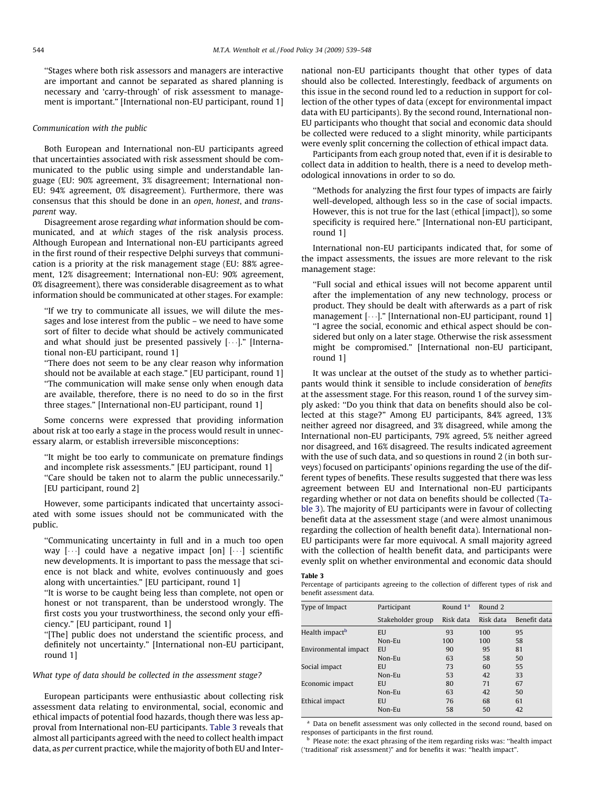''Stages where both risk assessors and managers are interactive are important and cannot be separated as shared planning is necessary and 'carry-through' of risk assessment to management is important." [International non-EU participant, round 1]

## Communication with the public

Both European and International non-EU participants agreed that uncertainties associated with risk assessment should be communicated to the public using simple and understandable language (EU: 90% agreement, 3% disagreement; International non-EU: 94% agreement, 0% disagreement). Furthermore, there was consensus that this should be done in an open, honest, and transparent way.

Disagreement arose regarding what information should be communicated, and at which stages of the risk analysis process. Although European and International non-EU participants agreed in the first round of their respective Delphi surveys that communication is a priority at the risk management stage (EU: 88% agreement, 12% disagreement; International non-EU: 90% agreement, 0% disagreement), there was considerable disagreement as to what information should be communicated at other stages. For example:

''If we try to communicate all issues, we will dilute the messages and lose interest from the public – we need to have some sort of filter to decide what should be actively communicated and what should just be presented passively […]." [International non-EU participant, round 1]

''There does not seem to be any clear reason why information should not be available at each stage." [EU participant, round 1] ''The communication will make sense only when enough data are available, therefore, there is no need to do so in the first three stages." [International non-EU participant, round 1]

Some concerns were expressed that providing information about risk at too early a stage in the process would result in unnecessary alarm, or establish irreversible misconceptions:

''It might be too early to communicate on premature findings and incomplete risk assessments." [EU participant, round 1] ''Care should be taken not to alarm the public unnecessarily." [EU participant, round 2]

However, some participants indicated that uncertainty associated with some issues should not be communicated with the public.

''Communicating uncertainty in full and in a much too open way  $[\cdots]$  could have a negative impact [on]  $[\cdots]$  scientific new developments. It is important to pass the message that science is not black and white, evolves continuously and goes along with uncertainties." [EU participant, round 1]

''It is worse to be caught being less than complete, not open or honest or not transparent, than be understood wrongly. The first costs you your trustworthiness, the second only your efficiency." [EU participant, round 1]

"[The] public does not understand the scientific process, and definitely not uncertainty." [International non-EU participant, round 1]

## What type of data should be collected in the assessment stage?

European participants were enthusiastic about collecting risk assessment data relating to environmental, social, economic and ethical impacts of potential food hazards, though there was less approval from International non-EU participants. Table 3 reveals that almost all participants agreed with the need to collect health impact data, as per current practice, while the majority of both EU and International non-EU participants thought that other types of data should also be collected. Interestingly, feedback of arguments on this issue in the second round led to a reduction in support for collection of the other types of data (except for environmental impact data with EU participants). By the second round, International non-EU participants who thought that social and economic data should be collected were reduced to a slight minority, while participants were evenly split concerning the collection of ethical impact data.

Participants from each group noted that, even if it is desirable to collect data in addition to health, there is a need to develop methodological innovations in order to so do.

''Methods for analyzing the first four types of impacts are fairly well-developed, although less so in the case of social impacts. However, this is not true for the last (ethical [impact]), so some specificity is required here." [International non-EU participant, round 1]

International non-EU participants indicated that, for some of the impact assessments, the issues are more relevant to the risk management stage:

''Full social and ethical issues will not become apparent until after the implementation of any new technology, process or product. They should be dealt with afterwards as a part of risk management [...]." [International non-EU participant, round 1] ''I agree the social, economic and ethical aspect should be considered but only on a later stage. Otherwise the risk assessment might be compromised." [International non-EU participant, round 1]

It was unclear at the outset of the study as to whether participants would think it sensible to include consideration of benefits at the assessment stage. For this reason, round 1 of the survey simply asked: ''Do you think that data on benefits should also be collected at this stage?" Among EU participants, 84% agreed, 13% neither agreed nor disagreed, and 3% disagreed, while among the International non-EU participants, 79% agreed, 5% neither agreed nor disagreed, and 16% disagreed. The results indicated agreement with the use of such data, and so questions in round 2 (in both surveys) focused on participants' opinions regarding the use of the different types of benefits. These results suggested that there was less agreement between EU and International non-EU participants regarding whether or not data on benefits should be collected (Table 3). The majority of EU participants were in favour of collecting benefit data at the assessment stage (and were almost unanimous regarding the collection of health benefit data). International non-EU participants were far more equivocal. A small majority agreed with the collection of health benefit data, and participants were evenly split on whether environmental and economic data should

#### Table 3

Percentage of participants agreeing to the collection of different types of risk and benefit assessment data.

| Type of Impact             | Participant       | Round $1a$ | Round 2   |              |
|----------------------------|-------------------|------------|-----------|--------------|
|                            | Stakeholder group | Risk data  | Risk data | Benefit data |
| Health impact <sup>b</sup> | EU                | 93         | 100       | 95           |
|                            | Non-Eu            | 100        | 100       | 58           |
| Environmental impact       | EU                | 90         | 95        | 81           |
|                            | Non-Eu            | 63         | 58        | 50           |
| Social impact              | EU                | 73         | 60        | 55           |
|                            | Non-Eu            | 53         | 42        | 33           |
| Economic impact            | EU                | 80         | 71        | 67           |
|                            | Non-Eu            | 63         | 42        | 50           |
| Ethical impact             | EU                | 76         | 68        | 61           |
|                            | Non-Eu            | 58         | 50        | 42           |

<sup>a</sup> Data on benefit assessment was only collected in the second round, based on responses of participants in the first round.

Please note: the exact phrasing of the item regarding risks was: "health impact ('traditional' risk assessment)" and for benefits it was: ''health impact".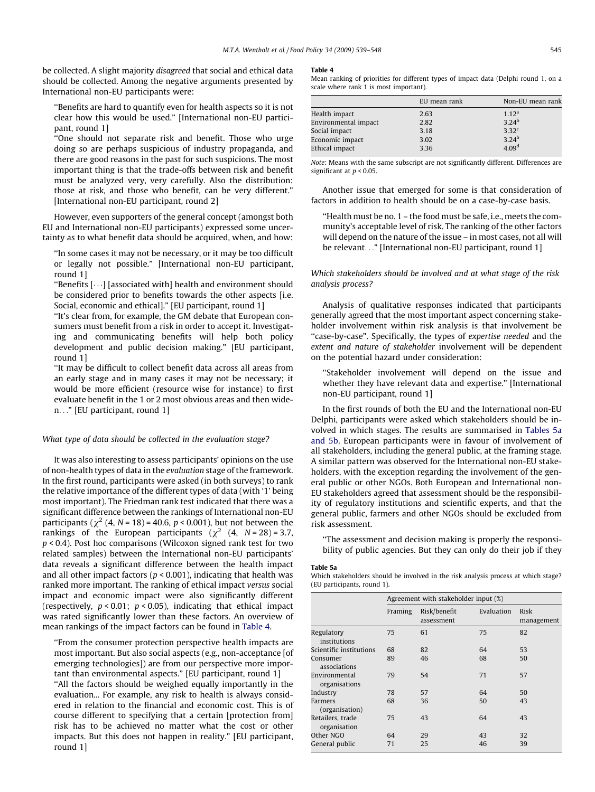be collected. A slight majority disagreed that social and ethical data should be collected. Among the negative arguments presented by International non-EU participants were:

''Benefits are hard to quantify even for health aspects so it is not clear how this would be used." [International non-EU participant, round 1]

''One should not separate risk and benefit. Those who urge doing so are perhaps suspicious of industry propaganda, and there are good reasons in the past for such suspicions. The most important thing is that the trade-offs between risk and benefit must be analyzed very, very carefully. Also the distribution: those at risk, and those who benefit, can be very different." [International non-EU participant, round 2]

However, even supporters of the general concept (amongst both EU and International non-EU participants) expressed some uncertainty as to what benefit data should be acquired, when, and how:

''In some cases it may not be necessary, or it may be too difficult or legally not possible." [International non-EU participant, round 1]

"Benefits  $\left[\cdots\right]$  [associated with] health and environment should be considered prior to benefits towards the other aspects [i.e. Social, economic and ethical]." [EU participant, round 1]

''It's clear from, for example, the GM debate that European consumers must benefit from a risk in order to accept it. Investigating and communicating benefits will help both policy development and public decision making." [EU participant, round 1]

''It may be difficult to collect benefit data across all areas from an early stage and in many cases it may not be necessary; it would be more efficient (resource wise for instance) to first evaluate benefit in the 1 or 2 most obvious areas and then widen..." [EU participant, round 1]

## What type of data should be collected in the evaluation stage?

It was also interesting to assess participants' opinions on the use of non-health types of data in the evaluation stage of the framework. In the first round, participants were asked (in both surveys) to rank the relative importance of the different types of data (with '1' being most important). The Friedman rank test indicated that there was a significant difference between the rankings of International non-EU participants ( $\chi^2$  (4, N = 18) = 40.6, p < 0.001), but not between the rankings of the European participants ( $\chi^2$  (4, N = 28) = 3.7,  $p < 0.4$ ). Post hoc comparisons (Wilcoxon signed rank test for two related samples) between the International non-EU participants' data reveals a significant difference between the health impact and all other impact factors ( $p < 0.001$ ), indicating that health was ranked more important. The ranking of ethical impact versus social impact and economic impact were also significantly different (respectively,  $p < 0.01$ ;  $p < 0.05$ ), indicating that ethical impact was rated significantly lower than these factors. An overview of mean rankings of the impact factors can be found in Table 4.

''From the consumer protection perspective health impacts are most important. But also social aspects (e.g., non-acceptance [of emerging technologies]) are from our perspective more important than environmental aspects." [EU participant, round 1]

''All the factors should be weighed equally importantly in the evaluation... For example, any risk to health is always considered in relation to the financial and economic cost. This is of course different to specifying that a certain [protection from] risk has to be achieved no matter what the cost or other impacts. But this does not happen in reality." [EU participant, round 1]

#### Table 4

Mean ranking of priorities for different types of impact data (Delphi round 1, on a scale where rank 1 is most important).

|                      | EU mean rank | Non-EU mean rank  |
|----------------------|--------------|-------------------|
| Health impact        | 2.63         | 1.12 <sup>a</sup> |
| Environmental impact | 2.82         | $3.24^{b}$        |
| Social impact        | 3.18         | 3.32 <sup>c</sup> |
| Economic impact      | 3.02         | $3.24^{b}$        |
| Ethical impact       | 3.36         | 4.09 <sup>d</sup> |

Note: Means with the same subscript are not significantly different. Differences are significant at  $p < 0.05$ .

Another issue that emerged for some is that consideration of factors in addition to health should be on a case-by-case basis.

''Health must be no. 1 – the food must be safe, i.e., meets the community's acceptable level of risk. The ranking of the other factors will depend on the nature of the issue – in most cases, not all will be relevant..." [International non-EU participant, round 1]

# Which stakeholders should be involved and at what stage of the risk analysis process?

Analysis of qualitative responses indicated that participants generally agreed that the most important aspect concerning stakeholder involvement within risk analysis is that involvement be "case-by-case". Specifically, the types of expertise needed and the extent and nature of stakeholder involvement will be dependent on the potential hazard under consideration:

''Stakeholder involvement will depend on the issue and whether they have relevant data and expertise." [International non-EU participant, round 1]

In the first rounds of both the EU and the International non-EU Delphi, participants were asked which stakeholders should be involved in which stages. The results are summarised in Tables 5a and 5b. European participants were in favour of involvement of all stakeholders, including the general public, at the framing stage. A similar pattern was observed for the International non-EU stakeholders, with the exception regarding the involvement of the general public or other NGOs. Both European and International non-EU stakeholders agreed that assessment should be the responsibility of regulatory institutions and scientific experts, and that the general public, farmers and other NGOs should be excluded from risk assessment.

''The assessment and decision making is properly the responsibility of public agencies. But they can only do their job if they

## Table 5a

Which stakeholders should be involved in the risk analysis process at which stage? (EU participants, round 1).

|                                  | Agreement with stakeholder input (%) |                            |            |                           |  |
|----------------------------------|--------------------------------------|----------------------------|------------|---------------------------|--|
|                                  | Framing                              | Risk/benefit<br>assessment | Evaluation | <b>Risk</b><br>management |  |
| Regulatory<br>institutions       | 75                                   | 61                         | 75         | 82                        |  |
| Scientific institutions          | 68                                   | 82                         | 64         | 53                        |  |
| Consumer<br>associations         | 89                                   | 46                         | 68         | 50                        |  |
| Environmental<br>organisations   | 79                                   | 54                         | 71         | 57                        |  |
| Industry                         | 78                                   | 57                         | 64         | 50                        |  |
| Farmers<br>(organisation)        | 68                                   | 36                         | 50         | 43                        |  |
| Retailers, trade<br>organisation | 75                                   | 43                         | 64         | 43                        |  |
| Other NGO                        | 64                                   | 29                         | 43         | 32                        |  |
| General public                   | 71                                   | 25                         | 46         | 39                        |  |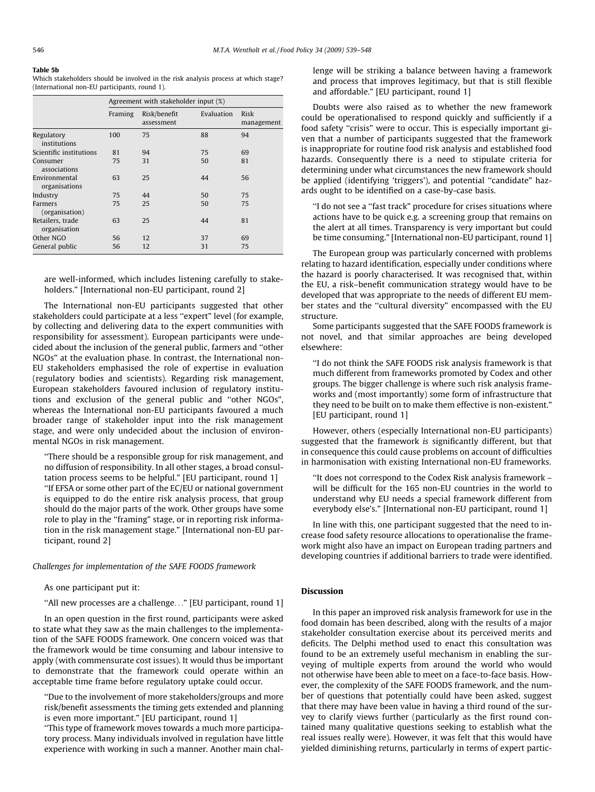#### Table 5b

Which stakeholders should be involved in the risk analysis process at which stage? (International non-EU participants, round 1).

|                                  | Agreement with stakeholder input (%) |                            |            |                           |  |
|----------------------------------|--------------------------------------|----------------------------|------------|---------------------------|--|
|                                  | Framing                              | Risk/benefit<br>assessment | Evaluation | <b>Risk</b><br>management |  |
| Regulatory<br>institutions       | 100                                  | 75                         | 88         | 94                        |  |
| Scientific institutions          | 81                                   | 94                         | 75         | 69                        |  |
| Consumer<br>associations         | 75                                   | 31                         | 50         | 81                        |  |
| Environmental<br>organisations   | 63                                   | 25                         | 44         | 56                        |  |
| Industry                         | 75                                   | 44                         | 50         | 75                        |  |
| Farmers<br>(organisation)        | 75                                   | 25                         | 50         | 75                        |  |
| Retailers, trade<br>organisation | 63                                   | 25                         | 44         | 81                        |  |
| Other NGO                        | 56                                   | 12                         | 37         | 69                        |  |
| General public                   | 56                                   | 12                         | 31         | 75                        |  |

are well-informed, which includes listening carefully to stakeholders." [International non-EU participant, round 2]

The International non-EU participants suggested that other stakeholders could participate at a less ''expert" level (for example, by collecting and delivering data to the expert communities with responsibility for assessment). European participants were undecided about the inclusion of the general public, farmers and ''other NGOs" at the evaluation phase. In contrast, the International non-EU stakeholders emphasised the role of expertise in evaluation (regulatory bodies and scientists). Regarding risk management, European stakeholders favoured inclusion of regulatory institutions and exclusion of the general public and ''other NGOs", whereas the International non-EU participants favoured a much broader range of stakeholder input into the risk management stage, and were only undecided about the inclusion of environmental NGOs in risk management.

''There should be a responsible group for risk management, and no diffusion of responsibility. In all other stages, a broad consultation process seems to be helpful." [EU participant, round 1] ''If EFSA or some other part of the EC/EU or national government is equipped to do the entire risk analysis process, that group should do the major parts of the work. Other groups have some role to play in the ''framing" stage, or in reporting risk information in the risk management stage." [International non-EU participant, round 2]

Challenges for implementation of the SAFE FOODS framework

As one participant put it:

''All new processes are a challenge..." [EU participant, round 1]

In an open question in the first round, participants were asked to state what they saw as the main challenges to the implementation of the SAFE FOODS framework. One concern voiced was that the framework would be time consuming and labour intensive to apply (with commensurate cost issues). It would thus be important to demonstrate that the framework could operate within an acceptable time frame before regulatory uptake could occur.

''Due to the involvement of more stakeholders/groups and more risk/benefit assessments the timing gets extended and planning is even more important." [EU participant, round 1]

''This type of framework moves towards a much more participatory process. Many individuals involved in regulation have little experience with working in such a manner. Another main challenge will be striking a balance between having a framework and process that improves legitimacy, but that is still flexible and affordable." [EU participant, round 1]

Doubts were also raised as to whether the new framework could be operationalised to respond quickly and sufficiently if a food safety ''crisis" were to occur. This is especially important given that a number of participants suggested that the framework is inappropriate for routine food risk analysis and established food hazards. Consequently there is a need to stipulate criteria for determining under what circumstances the new framework should be applied (identifying 'triggers'), and potential "candidate" hazards ought to be identified on a case-by-case basis.

''I do not see a ''fast track" procedure for crises situations where actions have to be quick e.g. a screening group that remains on the alert at all times. Transparency is very important but could be time consuming." [International non-EU participant, round 1]

The European group was particularly concerned with problems relating to hazard identification, especially under conditions where the hazard is poorly characterised. It was recognised that, within the EU, a risk–benefit communication strategy would have to be developed that was appropriate to the needs of different EU member states and the ''cultural diversity" encompassed with the EU structure.

Some participants suggested that the SAFE FOODS framework is not novel, and that similar approaches are being developed elsewhere:

''I do not think the SAFE FOODS risk analysis framework is that much different from frameworks promoted by Codex and other groups. The bigger challenge is where such risk analysis frameworks and (most importantly) some form of infrastructure that they need to be built on to make them effective is non-existent." [EU participant, round 1]

However, others (especially International non-EU participants) suggested that the framework is significantly different, but that in consequence this could cause problems on account of difficulties in harmonisation with existing International non-EU frameworks.

''It does not correspond to the Codex Risk analysis framework – will be difficult for the 165 non-EU countries in the world to understand why EU needs a special framework different from everybody else's." [International non-EU participant, round 1]

In line with this, one participant suggested that the need to increase food safety resource allocations to operationalise the framework might also have an impact on European trading partners and developing countries if additional barriers to trade were identified.

# Discussion

In this paper an improved risk analysis framework for use in the food domain has been described, along with the results of a major stakeholder consultation exercise about its perceived merits and deficits. The Delphi method used to enact this consultation was found to be an extremely useful mechanism in enabling the surveying of multiple experts from around the world who would not otherwise have been able to meet on a face-to-face basis. However, the complexity of the SAFE FOODS framework, and the number of questions that potentially could have been asked, suggest that there may have been value in having a third round of the survey to clarify views further (particularly as the first round contained many qualitative questions seeking to establish what the real issues really were). However, it was felt that this would have yielded diminishing returns, particularly in terms of expert partic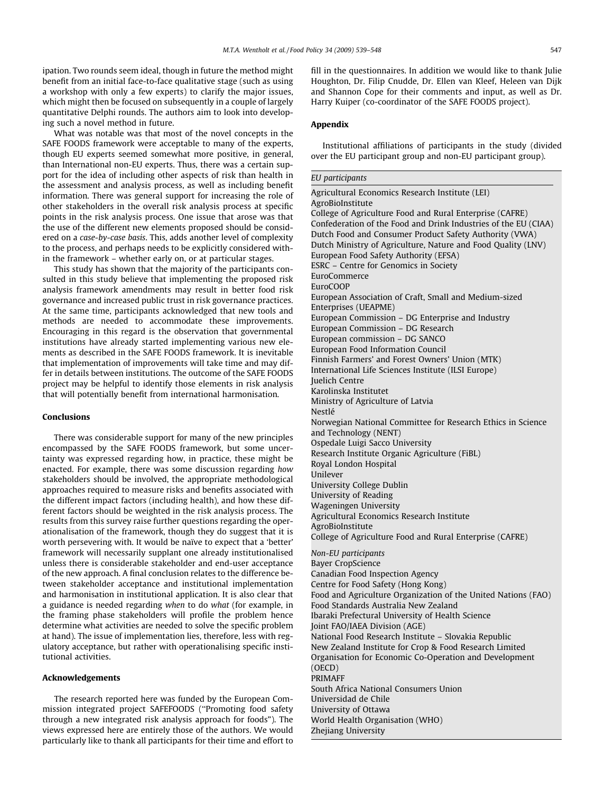ipation. Two rounds seem ideal, though in future the method might benefit from an initial face-to-face qualitative stage (such as using a workshop with only a few experts) to clarify the major issues, which might then be focused on subsequently in a couple of largely quantitative Delphi rounds. The authors aim to look into developing such a novel method in future.

What was notable was that most of the novel concepts in the SAFE FOODS framework were acceptable to many of the experts, though EU experts seemed somewhat more positive, in general, than International non-EU experts. Thus, there was a certain support for the idea of including other aspects of risk than health in the assessment and analysis process, as well as including benefit information. There was general support for increasing the role of other stakeholders in the overall risk analysis process at specific points in the risk analysis process. One issue that arose was that the use of the different new elements proposed should be considered on a case-by-case basis. This, adds another level of complexity to the process, and perhaps needs to be explicitly considered within the framework – whether early on, or at particular stages.

This study has shown that the majority of the participants consulted in this study believe that implementing the proposed risk analysis framework amendments may result in better food risk governance and increased public trust in risk governance practices. At the same time, participants acknowledged that new tools and methods are needed to accommodate these improvements. Encouraging in this regard is the observation that governmental institutions have already started implementing various new elements as described in the SAFE FOODS framework. It is inevitable that implementation of improvements will take time and may differ in details between institutions. The outcome of the SAFE FOODS project may be helpful to identify those elements in risk analysis that will potentially benefit from international harmonisation.

# Conclusions

There was considerable support for many of the new principles encompassed by the SAFE FOODS framework, but some uncertainty was expressed regarding how, in practice, these might be enacted. For example, there was some discussion regarding how stakeholders should be involved, the appropriate methodological approaches required to measure risks and benefits associated with the different impact factors (including health), and how these different factors should be weighted in the risk analysis process. The results from this survey raise further questions regarding the operationalisation of the framework, though they do suggest that it is worth persevering with. It would be naïve to expect that a 'better' framework will necessarily supplant one already institutionalised unless there is considerable stakeholder and end-user acceptance of the new approach. A final conclusion relates to the difference between stakeholder acceptance and institutional implementation and harmonisation in institutional application. It is also clear that a guidance is needed regarding when to do what (for example, in the framing phase stakeholders will profile the problem hence determine what activities are needed to solve the specific problem at hand). The issue of implementation lies, therefore, less with regulatory acceptance, but rather with operationalising specific institutional activities.

## Acknowledgements

The research reported here was funded by the European Commission integrated project SAFEFOODS (''Promoting food safety through a new integrated risk analysis approach for foods"). The views expressed here are entirely those of the authors. We would particularly like to thank all participants for their time and effort to fill in the questionnaires. In addition we would like to thank Julie Houghton, Dr. Filip Cnudde, Dr. Ellen van Kleef, Heleen van Dijk and Shannon Cope for their comments and input, as well as Dr. Harry Kuiper (co-coordinator of the SAFE FOODS project).

### Appendix

Institutional affiliations of participants in the study (divided over the EU participant group and non-EU participant group).

# EU participants

Agricultural Economics Research Institute (LEI) AgroBioInstitute College of Agriculture Food and Rural Enterprise (CAFRE) Confederation of the Food and Drink Industries of the EU (CIAA) Dutch Food and Consumer Product Safety Authority (VWA) Dutch Ministry of Agriculture, Nature and Food Quality (LNV) European Food Safety Authority (EFSA) ESRC – Centre for Genomics in Society **EuroCommerce EuroCOOP** European Association of Craft, Small and Medium-sized Enterprises (UEAPME) European Commission – DG Enterprise and Industry European Commission – DG Research European commission – DG SANCO European Food Information Council Finnish Farmers' and Forest Owners' Union (MTK) International Life Sciences Institute (ILSI Europe) Juelich Centre Karolinska Institutet Ministry of Agriculture of Latvia Nestlé Norwegian National Committee for Research Ethics in Science and Technology (NENT) Ospedale Luigi Sacco University Research Institute Organic Agriculture (FiBL) Royal London Hospital Unilever University College Dublin University of Reading Wageningen University Agricultural Economics Research Institute AgroBioInstitute College of Agriculture Food and Rural Enterprise (CAFRE) Non-EU participants Bayer CropScience Canadian Food Inspection Agency Centre for Food Safety (Hong Kong) Food and Agriculture Organization of the United Nations (FAO) Food Standards Australia New Zealand Ibaraki Prefectural University of Health Science Joint FAO/IAEA Division (AGE) National Food Research Institute – Slovakia Republic New Zealand Institute for Crop & Food Research Limited Organisation for Economic Co-Operation and Development (OECD) PRIMAFF South Africa National Consumers Union Universidad de Chile University of Ottawa World Health Organisation (WHO) Zhejiang University